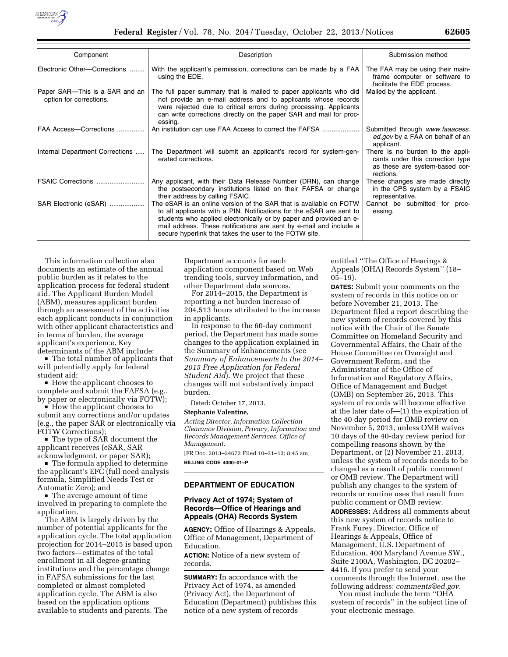

| Component                                                 | Description                                                                                                                                                                                                                                                                                                                                      | Submission method                                                                                                   |
|-----------------------------------------------------------|--------------------------------------------------------------------------------------------------------------------------------------------------------------------------------------------------------------------------------------------------------------------------------------------------------------------------------------------------|---------------------------------------------------------------------------------------------------------------------|
| Electronic Other-Corrections                              | With the applicant's permission, corrections can be made by a FAA<br>using the EDE.                                                                                                                                                                                                                                                              | The FAA may be using their main-<br>frame computer or software to<br>facilitate the EDE process.                    |
| Paper SAR—This is a SAR and an<br>option for corrections. | The full paper summary that is mailed to paper applicants who did<br>not provide an e-mail address and to applicants whose records<br>were rejected due to critical errors during processing. Applicants<br>can write corrections directly on the paper SAR and mail for proc-<br>essing.                                                        | Mailed by the applicant.                                                                                            |
| FAA Access-Corrections                                    | An institution can use FAA Access to correct the FAFSA                                                                                                                                                                                                                                                                                           | Submitted through www.faaacess.<br>ed.gov by a FAA on behalf of an<br>applicant.                                    |
| Internal Department Corrections                           | The Department will submit an applicant's record for system-gen-<br>erated corrections.                                                                                                                                                                                                                                                          | There is no burden to the appli-<br>cants under this correction type<br>as these are system-based cor-<br>rections. |
| FSAIC Corrections                                         | Any applicant, with their Data Release Number (DRN), can change<br>the postsecondary institutions listed on their FAFSA or change<br>their address by calling FSAIC.                                                                                                                                                                             | These changes are made directly<br>in the CPS system by a FSAIC<br>representative.                                  |
| SAR Electronic (eSAR)                                     | The eSAR is an online version of the SAR that is available on FOTW<br>to all applicants with a PIN. Notifications for the eSAR are sent to<br>students who applied electronically or by paper and provided an e-<br>mail address. These notifications are sent by e-mail and include a<br>secure hyperlink that takes the user to the FOTW site. | Cannot be submitted for proc-<br>essing.                                                                            |

This information collection also documents an estimate of the annual public burden as it relates to the application process for federal student aid. The Applicant Burden Model (ABM), measures applicant burden through an assessment of the activities each applicant conducts in conjunction with other applicant characteristics and in terms of burden, the average applicant's experience. Key determinants of the ABM include:

 $\blacksquare$  The total number of applicants that will potentially apply for federal student aid;

 $\blacksquare$  How the applicant chooses to complete and submit the FAFSA (e.g., by paper or electronically via FOTW);

 $\blacksquare$  How the applicant chooses to submit any corrections and/or updates (e.g., the paper SAR or electronically via FOTW Corrections);

 $\blacksquare$  The type of SAR document the applicant receives (eSAR, SAR acknowledgment, or paper SAR);

■ The formula applied to determine the applicant's EFC (full need analysis formula, Simplified Needs Test or Automatic Zero); and

 $\blacksquare$  The average amount of time involved in preparing to complete the application.

The ABM is largely driven by the number of potential applicants for the application cycle. The total application projection for 2014–2015 is based upon two factors—estimates of the total enrollment in all degree-granting institutions and the percentage change in FAFSA submissions for the last completed or almost completed application cycle. The ABM is also based on the application options available to students and parents. The

Department accounts for each application component based on Web trending tools, survey information, and other Department data sources.

For 2014–2015, the Department is reporting a net burden increase of 204,513 hours attributed to the increase in applicants.

In response to the 60-day comment period, the Department has made some changes to the application explained in the Summary of Enhancements (see *Summary of Enhancements to the 2014– 2015 Free Application for Federal Student Aid*). We project that these changes will not substantively impact burden.

Dated: October 17, 2013.

# **Stephanie Valentine,**

*Acting Director, Information Collection Clearance Division, Privacy, Information and Records Management Services, Office of Management.* 

[FR Doc. 2013–24672 Filed 10–21–13; 8:45 am] **BILLING CODE 4000–01–P** 

### **DEPARTMENT OF EDUCATION**

## **Privacy Act of 1974; System of Records—Office of Hearings and Appeals (OHA) Records System**

**AGENCY:** Office of Hearings & Appeals, Office of Management, Department of Education.

**ACTION:** Notice of a new system of records.

**SUMMARY:** In accordance with the Privacy Act of 1974, as amended (Privacy Act), the Department of Education (Department) publishes this notice of a new system of records

entitled ''The Office of Hearings & Appeals (OHA) Records System'' (18– 05–19).

**DATES:** Submit your comments on the system of records in this notice on or before November 21, 2013. The Department filed a report describing the new system of records covered by this notice with the Chair of the Senate Committee on Homeland Security and Governmental Affairs, the Chair of the House Committee on Oversight and Government Reform, and the Administrator of the Office of Information and Regulatory Affairs, Office of Management and Budget (OMB) on September 26, 2013. This system of records will become effective at the later date of—(1) the expiration of the 40 day period for OMB review on November 5, 2013, unless OMB waives 10 days of the 40-day review period for compelling reasons shown by the Department, or (2) November 21, 2013, unless the system of records needs to be changed as a result of public comment or OMB review. The Department will publish any changes to the system of records or routine uses that result from public comment or OMB review. **ADDRESSES:** Address all comments about

this new system of records notice to Frank Furey, Director, Office of Hearings & Appeals, Office of Management, U.S. Department of Education, 400 Maryland Avenue SW., Suite 2100A, Washington, DC 20202– 4416. If you prefer to send your comments through the Internet, use the following address: *[comments@ed.gov.](mailto:comments@ed.gov)* 

You must include the term ''OHA system of records'' in the subject line of your electronic message.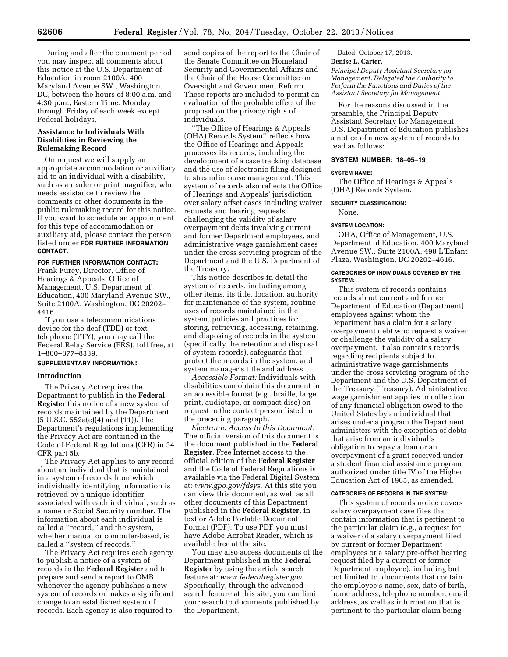During and after the comment period, you may inspect all comments about this notice at the U.S. Department of Education in room 2100A, 400 Maryland Avenue SW., Washington, DC, between the hours of 8:00 a.m. and 4:30 p.m., Eastern Time, Monday through Friday of each week except Federal holidays.

# **Assistance to Individuals With Disabilities in Reviewing the Rulemaking Record**

On request we will supply an appropriate accommodation or auxiliary aid to an individual with a disability, such as a reader or print magnifier, who needs assistance to review the comments or other documents in the public rulemaking record for this notice. If you want to schedule an appointment for this type of accommodation or auxiliary aid, please contact the person listed under **FOR FURTHER INFORMATION CONTACT**.

# **FOR FURTHER INFORMATION CONTACT:**

Frank Furey, Director, Office of Hearings & Appeals, Office of Management, U.S. Department of Education, 400 Maryland Avenue SW., Suite 2100A, Washington, DC 20202– 4416.

If you use a telecommunications device for the deaf (TDD) or text telephone (TTY), you may call the Federal Relay Service (FRS), toll free, at 1–800–877–8339.

## **SUPPLEMENTARY INFORMATION:**

#### **Introduction**

The Privacy Act requires the Department to publish in the **Federal Register** this notice of a new system of records maintained by the Department (5 U.S.C. 552a(e)(4) and (11)). The Department's regulations implementing the Privacy Act are contained in the Code of Federal Regulations (CFR) in 34 CFR part 5b.

The Privacy Act applies to any record about an individual that is maintained in a system of records from which individually identifying information is retrieved by a unique identifier associated with each individual, such as a name or Social Security number. The information about each individual is called a ''record,'' and the system, whether manual or computer-based, is called a ''system of records.''

The Privacy Act requires each agency to publish a notice of a system of records in the **Federal Register** and to prepare and send a report to OMB whenever the agency publishes a new system of records or makes a significant change to an established system of records. Each agency is also required to

send copies of the report to the Chair of the Senate Committee on Homeland Security and Governmental Affairs and the Chair of the House Committee on Oversight and Government Reform. These reports are included to permit an evaluation of the probable effect of the proposal on the privacy rights of individuals.

''The Office of Hearings & Appeals (OHA) Records System'' reflects how the Office of Hearings and Appeals processes its records, including the development of a case tracking database and the use of electronic filing designed to streamline case management. This system of records also reflects the Office of Hearings and Appeals' jurisdiction over salary offset cases including waiver requests and hearing requests challenging the validity of salary overpayment debts involving current and former Department employees, and administrative wage garnishment cases under the cross servicing program of the Department and the U.S. Department of the Treasury.

This notice describes in detail the system of records, including among other items, its title, location, authority for maintenance of the system, routine uses of records maintained in the system, policies and practices for storing, retrieving, accessing, retaining, and disposing of records in the system (specifically the retention and disposal of system records), safeguards that protect the records in the system, and system manager's title and address.

*Accessible Format:* Individuals with disabilities can obtain this document in an accessible format (e.g., braille, large print, audiotape, or compact disc) on request to the contact person listed in the preceding paragraph.

*Electronic Access to this Document:*  The official version of this document is the document published in the **Federal Register**. Free Internet access to the official edition of the **Federal Register**  and the Code of Federal Regulations is available via the Federal Digital System at: *[www.gpo.gov/fdsys.](http://www.gpo.gov/fdsys)* At this site you can view this document, as well as all other documents of this Department published in the **Federal Register**, in text or Adobe Portable Document Format (PDF). To use PDF you must have Adobe Acrobat Reader, which is available free at the site.

You may also access documents of the Department published in the **Federal Register** by using the article search feature at: *[www.federalregister.gov.](http://www.federalregister.gov)*  Specifically, through the advanced search feature at this site, you can limit your search to documents published by the Department.

Dated: October 17, 2013.

## **Denise L. Carter,**

*Principal Deputy Assistant Secretary for Management. Delegated the Authority to Perform the Functions and Duties of the Assistant Secretary for Management.* 

For the reasons discussed in the preamble, the Principal Deputy Assistant Secretary for Management, U.S. Department of Education publishes a notice of a new system of records to read as follows:

# **SYSTEM NUMBER: 18–05–19**

## **SYSTEM NAME:**

The Office of Hearings & Appeals (OHA) Records System.

#### **SECURITY CLASSIFICATION:**

None.

## **SYSTEM LOCATION:**

OHA, Office of Management, U.S. Department of Education, 400 Maryland Avenue SW., Suite 2100A, 490 L'Enfant Plaza, Washington, DC 20202–4616.

#### **CATEGORIES OF INDIVIDUALS COVERED BY THE SYSTEM:**

This system of records contains records about current and former Department of Education (Department) employees against whom the Department has a claim for a salary overpayment debt who request a waiver or challenge the validity of a salary overpayment. It also contains records regarding recipients subject to administrative wage garnishments under the cross servicing program of the Department and the U.S. Department of the Treasury (Treasury). Administrative wage garnishment applies to collection of any financial obligation owed to the United States by an individual that arises under a program the Department administers with the exception of debts that arise from an individual's obligation to repay a loan or an overpayment of a grant received under a student financial assistance program authorized under title IV of the Higher Education Act of 1965, as amended.

#### **CATEGORIES OF RECORDS IN THE SYSTEM:**

This system of records notice covers salary overpayment case files that contain information that is pertinent to the particular claim (e.g., a request for a waiver of a salary overpayment filed by current or former Department employees or a salary pre-offset hearing request filed by a current or former Department employee), including but not limited to, documents that contain the employee's name, sex, date of birth, home address, telephone number, email address, as well as information that is pertinent to the particular claim being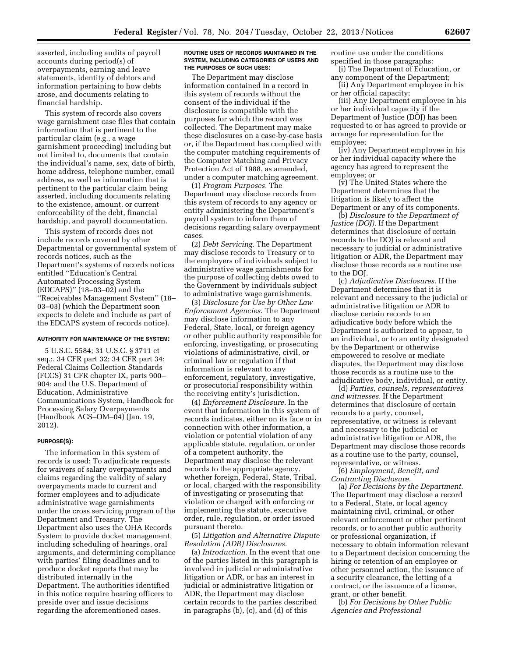asserted, including audits of payroll accounts during period(s) of overpayments, earning and leave statements, identity of debtors and information pertaining to how debts arose, and documents relating to financial hardship.

This system of records also covers wage garnishment case files that contain information that is pertinent to the particular claim (e.g., a wage garnishment proceeding) including but not limited to, documents that contain the individual's name, sex, date of birth, home address, telephone number, email address, as well as information that is pertinent to the particular claim being asserted, including documents relating to the existence, amount, or current enforceability of the debt, financial hardship, and payroll documentation.

This system of records does not include records covered by other Departmental or governmental system of records notices, such as the Department's systems of records notices entitled ''Education's Central Automated Processing System (EDCAPS)'' (18–03–02) and the ''Receivables Management System'' (18– 03–03) (which the Department soon expects to delete and include as part of the EDCAPS system of records notice).

#### **AUTHORITY FOR MAINTENANCE OF THE SYSTEM:**

5 U.S.C. 5584; 31 U.S.C. § 3711 et seq.;, 34 CFR part 32; 34 CFR part 34; Federal Claims Collection Standards (FCCS) 31 CFR chapter IX, parts 900– 904; and the U.S. Department of Education, Administrative Communications System, Handbook for Processing Salary Overpayments (Handbook ACS–OM–04) (Jan. 19, 2012).

#### **PURPOSE(S):**

The information in this system of records is used: To adjudicate requests for waivers of salary overpayments and claims regarding the validity of salary overpayments made to current and former employees and to adjudicate administrative wage garnishments under the cross servicing program of the Department and Treasury. The Department also uses the OHA Records System to provide docket management, including scheduling of hearings, oral arguments, and determining compliance with parties' filing deadlines and to produce docket reports that may be distributed internally in the Department. The authorities identified in this notice require hearing officers to preside over and issue decisions regarding the aforementioned cases.

#### **ROUTINE USES OF RECORDS MAINTAINED IN THE SYSTEM, INCLUDING CATEGORIES OF USERS AND THE PURPOSES OF SUCH USES:**

The Department may disclose information contained in a record in this system of records without the consent of the individual if the disclosure is compatible with the purposes for which the record was collected. The Department may make these disclosures on a case-by-case basis or, if the Department has complied with the computer matching requirements of the Computer Matching and Privacy Protection Act of 1988, as amended, under a computer matching agreement.

(1) *Program Purposes.* The Department may disclose records from this system of records to any agency or entity administering the Department's payroll system to inform them of decisions regarding salary overpayment cases.

(2) *Debt Servicing.* The Department may disclose records to Treasury or to the employers of individuals subject to administrative wage garnishments for the purpose of collecting debts owed to the Government by individuals subject to administrative wage garnishments.

(3) *Disclosure for Use by Other Law Enforcement Agencies.* The Department may disclose information to any Federal, State, local, or foreign agency or other public authority responsible for enforcing, investigating, or prosecuting violations of administrative, civil, or criminal law or regulation if that information is relevant to any enforcement, regulatory, investigative, or prosecutorial responsibility within the receiving entity's jurisdiction.

(4) *Enforcement Disclosure.* In the event that information in this system of records indicates, either on its face or in connection with other information, a violation or potential violation of any applicable statute, regulation, or order of a competent authority, the Department may disclose the relevant records to the appropriate agency, whether foreign, Federal, State, Tribal, or local, charged with the responsibility of investigating or prosecuting that violation or charged with enforcing or implementing the statute, executive order, rule, regulation, or order issued pursuant thereto.

(5) *Litigation and Alternative Dispute Resolution (ADR) Disclosures.* 

(a) *Introduction.* In the event that one of the parties listed in this paragraph is involved in judicial or administrative litigation or ADR, or has an interest in judicial or administrative litigation or ADR, the Department may disclose certain records to the parties described in paragraphs (b), (c), and (d) of this

routine use under the conditions specified in those paragraphs:

(i) The Department of Education, or any component of the Department;

(ii) Any Department employee in his or her official capacity;

(iii) Any Department employee in his or her individual capacity if the Department of Justice (DOJ) has been requested to or has agreed to provide or arrange for representation for the employee;

(iv) Any Department employee in his or her individual capacity where the agency has agreed to represent the employee; or

(v) The United States where the Department determines that the litigation is likely to affect the Department or any of its components.

(b) *Disclosure to the Department of Justice (DOJ).* If the Department determines that disclosure of certain records to the DOJ is relevant and necessary to judicial or administrative litigation or ADR, the Department may disclose those records as a routine use to the DOJ.

(c) *Adjudicative Disclosures.* If the Department determines that it is relevant and necessary to the judicial or administrative litigation or ADR to disclose certain records to an adjudicative body before which the Department is authorized to appear, to an individual, or to an entity designated by the Department or otherwise empowered to resolve or mediate disputes, the Department may disclose those records as a routine use to the adjudicative body, individual, or entity.

(d) *Parties, counsels, representatives and witnesses.* If the Department determines that disclosure of certain records to a party, counsel, representative, or witness is relevant and necessary to the judicial or administrative litigation or ADR, the Department may disclose those records as a routine use to the party, counsel, representative, or witness.

(6) *Employment, Benefit, and Contracting Disclosure.* 

(a) *For Decisions by the Department.*  The Department may disclose a record to a Federal, State, or local agency maintaining civil, criminal, or other relevant enforcement or other pertinent records, or to another public authority or professional organization, if necessary to obtain information relevant to a Department decision concerning the hiring or retention of an employee or other personnel action, the issuance of a security clearance, the letting of a contract, or the issuance of a license, grant, or other benefit.

(b) *For Decisions by Other Public Agencies and Professional*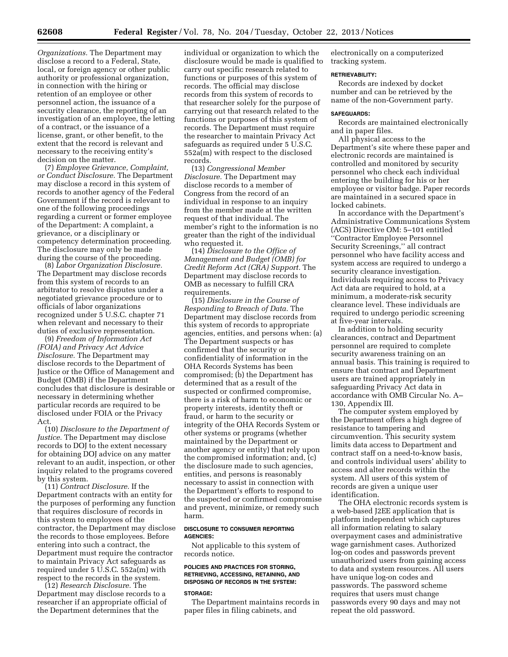*Organizations.* The Department may disclose a record to a Federal, State, local, or foreign agency or other public authority or professional organization, in connection with the hiring or retention of an employee or other personnel action, the issuance of a security clearance, the reporting of an investigation of an employee, the letting of a contract, or the issuance of a license, grant, or other benefit, to the extent that the record is relevant and necessary to the receiving entity's decision on the matter.

(7) *Employee Grievance, Complaint, or Conduct Disclosure.* The Department may disclose a record in this system of records to another agency of the Federal Government if the record is relevant to one of the following proceedings regarding a current or former employee of the Department: A complaint, a grievance, or a disciplinary or competency determination proceeding. The disclosure may only be made during the course of the proceeding.

(8) *Labor Organization Disclosure.*  The Department may disclose records from this system of records to an arbitrator to resolve disputes under a negotiated grievance procedure or to officials of labor organizations recognized under 5 U.S.C. chapter 71 when relevant and necessary to their duties of exclusive representation.

(9) *Freedom of Information Act (FOIA) and Privacy Act Advice Disclosure.* The Department may disclose records to the Department of Justice or the Office of Management and Budget (OMB) if the Department concludes that disclosure is desirable or necessary in determining whether particular records are required to be disclosed under FOIA or the Privacy Act.

(10) *Disclosure to the Department of Justice.* The Department may disclose records to DOJ to the extent necessary for obtaining DOJ advice on any matter relevant to an audit, inspection, or other inquiry related to the programs covered by this system.

(11) *Contract Disclosure.* If the Department contracts with an entity for the purposes of performing any function that requires disclosure of records in this system to employees of the contractor, the Department may disclose the records to those employees. Before entering into such a contract, the Department must require the contractor to maintain Privacy Act safeguards as required under 5 U.S.C. 552a(m) with respect to the records in the system.

(12) *Research Disclosure.* The Department may disclose records to a researcher if an appropriate official of the Department determines that the

individual or organization to which the disclosure would be made is qualified to carry out specific research related to functions or purposes of this system of records. The official may disclose records from this system of records to that researcher solely for the purpose of carrying out that research related to the functions or purposes of this system of records. The Department must require the researcher to maintain Privacy Act safeguards as required under 5 U.S.C. 552a(m) with respect to the disclosed records.

(13) *Congressional Member Disclosure.* The Department may disclose records to a member of Congress from the record of an individual in response to an inquiry from the member made at the written request of that individual. The member's right to the information is no greater than the right of the individual who requested it.

(14) *Disclosure to the Office of Management and Budget (OMB) for Credit Reform Act (CRA) Support.* The Department may disclose records to OMB as necessary to fulfill CRA requirements.

(15) *Disclosure in the Course of Responding to Breach of Data.* The Department may disclose records from this system of records to appropriate agencies, entities, and persons when: (a) The Department suspects or has confirmed that the security or confidentiality of information in the OHA Records Systems has been compromised; (b) the Department has determined that as a result of the suspected or confirmed compromise, there is a risk of harm to economic or property interests, identity theft or fraud, or harm to the security or integrity of the OHA Records System or other systems or programs (whether maintained by the Department or another agency or entity) that rely upon the compromised information; and, (c) the disclosure made to such agencies, entities, and persons is reasonably necessary to assist in connection with the Department's efforts to respond to the suspected or confirmed compromise and prevent, minimize, or remedy such harm.

## **DISCLOSURE TO CONSUMER REPORTING AGENCIES:**

Not applicable to this system of records notice.

#### **POLICIES AND PRACTICES FOR STORING, RETRIEVING, ACCESSING, RETAINING, AND DISPOSING OF RECORDS IN THE SYSTEM:**

#### **STORAGE:**

The Department maintains records in paper files in filing cabinets, and

electronically on a computerized tracking system.

#### **RETRIEVABILITY:**

Records are indexed by docket number and can be retrieved by the name of the non-Government party.

## **SAFEGUARDS:**

Records are maintained electronically and in paper files.

All physical access to the Department's site where these paper and electronic records are maintained is controlled and monitored by security personnel who check each individual entering the building for his or her employee or visitor badge. Paper records are maintained in a secured space in locked cabinets.

In accordance with the Department's Administrative Communications System (ACS) Directive OM: 5–101 entitled ''Contractor Employee Personnel Security Screenings,'' all contract personnel who have facility access and system access are required to undergo a security clearance investigation. Individuals requiring access to Privacy Act data are required to hold, at a minimum, a moderate-risk security clearance level. These individuals are required to undergo periodic screening at five-year intervals.

In addition to holding security clearances, contract and Department personnel are required to complete security awareness training on an annual basis. This training is required to ensure that contract and Department users are trained appropriately in safeguarding Privacy Act data in accordance with OMB Circular No. A– 130, Appendix III.

The computer system employed by the Department offers a high degree of resistance to tampering and circumvention. This security system limits data access to Department and contract staff on a need-to-know basis, and controls individual users' ability to access and alter records within the system. All users of this system of records are given a unique user identification.

The OHA electronic records system is a web-based J2EE application that is platform independent which captures all information relating to salary overpayment cases and administrative wage garnishment cases. Authorized log-on codes and passwords prevent unauthorized users from gaining access to data and system resources. All users have unique log-on codes and passwords. The password scheme requires that users must change passwords every 90 days and may not repeat the old password.